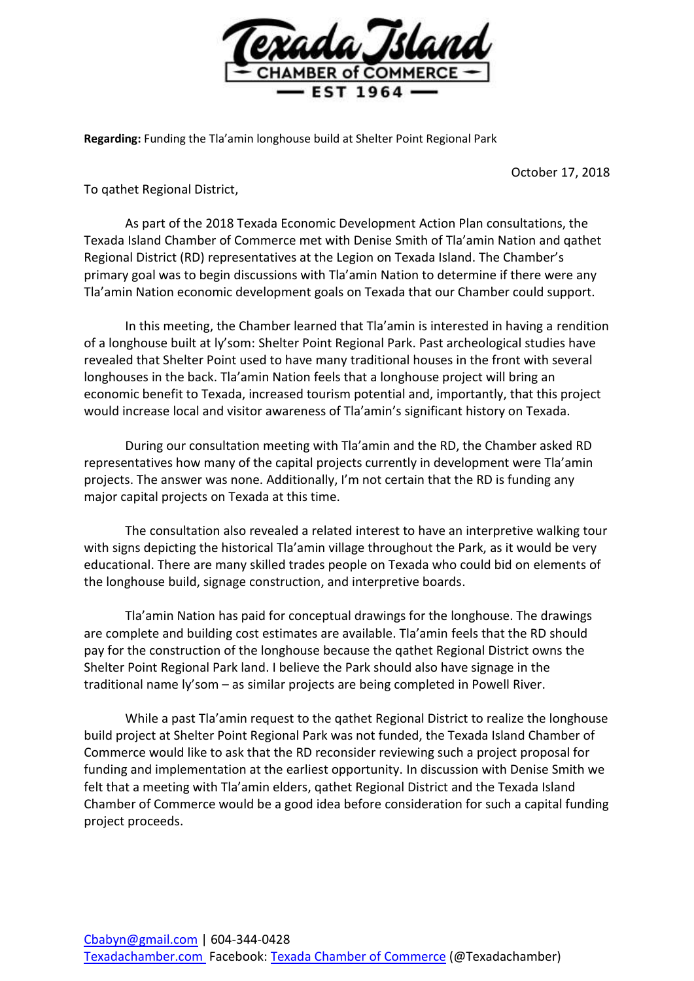

**Regarding:** Funding the Tla'amin longhouse build at Shelter Point Regional Park

October 17, 2018

To qathet Regional District,

As part of the 2018 Texada Economic Development Action Plan consultations, the Texada Island Chamber of Commerce met with Denise Smith of Tla'amin Nation and qathet Regional District (RD) representatives at the Legion on Texada Island. The Chamber's primary goal was to begin discussions with Tla'amin Nation to determine if there were any Tla'amin Nation economic development goals on Texada that our Chamber could support.

In this meeting, the Chamber learned that Tla'amin is interested in having a rendition of a longhouse built at ly'som: Shelter Point Regional Park. Past archeological studies have revealed that Shelter Point used to have many traditional houses in the front with several longhouses in the back. Tla'amin Nation feels that a longhouse project will bring an economic benefit to Texada, increased tourism potential and, importantly, that this project would increase local and visitor awareness of Tla'amin's significant history on Texada.

During our consultation meeting with Tla'amin and the RD, the Chamber asked RD representatives how many of the capital projects currently in development were Tla'amin projects. The answer was none. Additionally, I'm not certain that the RD is funding any major capital projects on Texada at this time.

The consultation also revealed a related interest to have an interpretive walking tour with signs depicting the historical Tla'amin village throughout the Park, as it would be very educational. There are many skilled trades people on Texada who could bid on elements of the longhouse build, signage construction, and interpretive boards.

Tla'amin Nation has paid for conceptual drawings for the longhouse. The drawings are complete and building cost estimates are available. Tla'amin feels that the RD should pay for the construction of the longhouse because the qathet Regional District owns the Shelter Point Regional Park land. I believe the Park should also have signage in the traditional name ly'som – as similar projects are being completed in Powell River.

While a past Tla'amin request to the qathet Regional District to realize the longhouse build project at Shelter Point Regional Park was not funded, the Texada Island Chamber of Commerce would like to ask that the RD reconsider reviewing such a project proposal for funding and implementation at the earliest opportunity. In discussion with Denise Smith we felt that a meeting with Tla'amin elders, qathet Regional District and the Texada Island Chamber of Commerce would be a good idea before consideration for such a capital funding project proceeds.